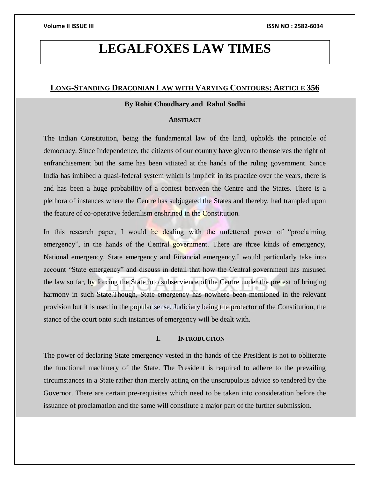# **LEGALFOXES LAW TIMES**

# **LONG-STANDING DRACONIAN LAW WITH VARYING CONTOURS: ARTICLE 356**

# **By Rohit Choudhary and Rahul Sodhi**

### **ABSTRACT**

The Indian Constitution, being the fundamental law of the land, upholds the principle of democracy. Since Independence, the citizens of our country have given to themselves the right of enfranchisement but the same has been vitiated at the hands of the ruling government. Since India has imbibed a quasi-federal system which is implicit in its practice over the years, there is and has been a huge probability of a contest between the Centre and the States. There is a plethora of instances where the Centre has subjugated the States and thereby, had trampled upon the feature of co-operative federalism enshrined in the Constitution.

In this research paper, I would be dealing with the unfettered power of "proclaiming" emergency", in the hands of the Central government. There are three kinds of emergency, National emergency, State emergency and Financial emergency.I would particularly take into account "State emergency" and discuss in detail that how the Central government has misused the law so far, by forcing the State into subservience of the Centre under the pretext of bringing harmony in such State.Though, State emergency has nowhere been mentioned in the relevant provision but it is used in the popular sense. Judiciary being the protector of the Constitution, the stance of the court onto such instances of emergency will be dealt with.

### **I. INTRODUCTION**

The power of declaring State emergency vested in the hands of the President is not to obliterate the functional machinery of the State. The President is required to adhere to the prevailing circumstances in a State rather than merely acting on the unscrupulous advice so tendered by the Governor. There are certain pre-requisites which need to be taken into consideration before the issuance of proclamation and the same will constitute a major part of the further submission.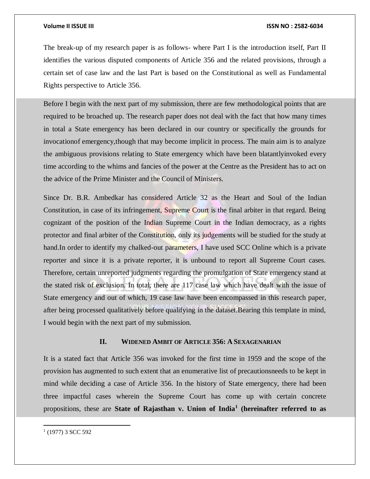#### **Volume II ISSUE III ISSN NO : 2582-6034**

The break-up of my research paper is as follows- where Part I is the introduction itself, Part II identifies the various disputed components of Article 356 and the related provisions, through a certain set of case law and the last Part is based on the Constitutional as well as Fundamental Rights perspective to Article 356.

Before I begin with the next part of my submission, there are few methodological points that are required to be broached up. The research paper does not deal with the fact that how many times in total a State emergency has been declared in our country or specifically the grounds for invocationof emergency,though that may become implicit in process. The main aim is to analyze the ambiguous provisions relating to State emergency which have been blatantlyinvoked every time according to the whims and fancies of the power at the Centre as the President has to act on the advice of the Prime Minister and the Council of Ministers.

Since Dr. B.R. Ambedkar has considered Article 32 as the Heart and Soul of the Indian Constitution, in case of its infringement, Supreme Court is the final arbiter in that regard. Being cognizant of the position of the Indian Supreme Court in the Indian democracy, as a rights protector and final arbiter of the Constitution, only its judgements will be studied for the study at hand. In order to identify my chalked-out parameters, I have used SCC Online which is a private reporter and since it is a private reporter, it is unbound to report all Supreme Court cases. Therefore, certain unreported judgments regarding the promulgation of State emergency stand at the stated risk of exclusion. In total, there are 117 case law which have dealt with the issue of State emergency and out of which, 19 case law have been encompassed in this research paper, after being processed qualitatively before qualifying in the dataset.Bearing this template in mind, I would begin with the next part of my submission.

### **II. WIDENED AMBIT OF ARTICLE 356: A SEXAGENARIAN**

It is a stated fact that Article 356 was invoked for the first time in 1959 and the scope of the provision has augmented to such extent that an enumerative list of precautionsneeds to be kept in mind while deciding a case of Article 356. In the history of State emergency, there had been three impactful cases wherein the Supreme Court has come up with certain concrete propositions, these are **State of Rajasthan v. Union of India<sup>1</sup> (hereinafter referred to as** 

 $\overline{a}$  $(1977)$  3 SCC 592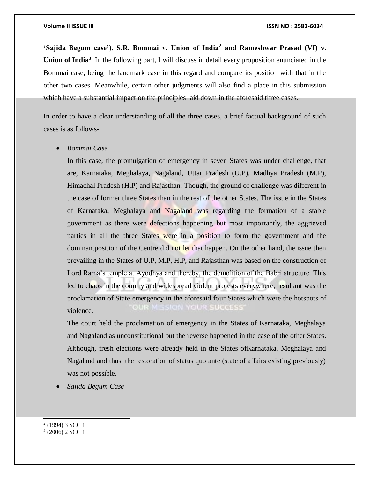**'Sajida Begum case'), S.R. Bommai v. Union of India<sup>2</sup> and Rameshwar Prasad (VI) v.**  Union of India<sup>3</sup>. In the following part, I will discuss in detail every proposition enunciated in the Bommai case, being the landmark case in this regard and compare its position with that in the other two cases. Meanwhile, certain other judgments will also find a place in this submission which have a substantial impact on the principles laid down in the aforesaid three cases.

In order to have a clear understanding of all the three cases, a brief factual background of such cases is as follows-

#### *Bommai Case*

In this case, the promulgation of emergency in seven States was under challenge, that are, Karnataka, Meghalaya, Nagaland, Uttar Pradesh (U.P), Madhya Pradesh (M.P), Himachal Pradesh (H.P) and Rajasthan. Though, the ground of challenge was different in the case of former three States than in the rest of the other States. The issue in the States of Karnataka, Meghalaya and Nagaland was regarding the formation of a stable government as there were defections happening but most importantly, the aggrieved parties in all the three States were in a position to form the government and the dominantposition of the Centre did not let that happen. On the other hand, the issue then prevailing in the States of U.P, M.P, H.P, and Rajasthan was based on the construction of Lord Rama's temple at Ayodhya and thereby, the demolition of the Babri structure. This led to chaos in the country and widespread violent protests everywhere, resultant was the proclamation of State emergency in the aforesaid four States which were the hotspots of OUR MISSION YOUR SUCCESS violence.

The court held the proclamation of emergency in the States of Karnataka, Meghalaya and Nagaland as unconstitutional but the reverse happened in the case of the other States. Although, fresh elections were already held in the States ofKarnataka, Meghalaya and Nagaland and thus, the restoration of status quo ante (state of affairs existing previously) was not possible.

*Sajida Begum Case*

2 (1994) 3 SCC 1

l

3 (2006) 2 SCC 1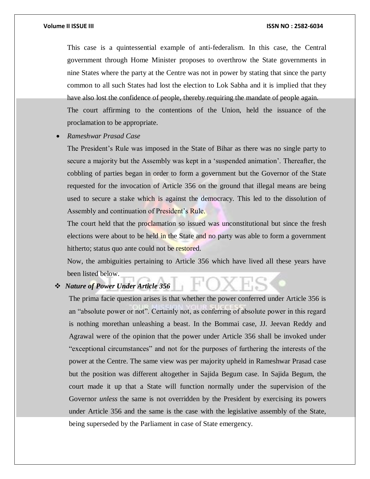This case is a quintessential example of anti-federalism. In this case, the Central government through Home Minister proposes to overthrow the State governments in nine States where the party at the Centre was not in power by stating that since the party common to all such States had lost the election to Lok Sabha and it is implied that they have also lost the confidence of people, thereby requiring the mandate of people again. The court affirming to the contentions of the Union, held the issuance of the proclamation to be appropriate.

*Rameshwar Prasad Case*

The President's Rule was imposed in the State of Bihar as there was no single party to secure a majority but the Assembly was kept in a 'suspended animation'. Thereafter, the cobbling of parties began in order to form a government but the Governor of the State requested for the invocation of Article 356 on the ground that illegal means are being used to secure a stake which is against the democracy. This led to the dissolution of Assembly and continuation of President's Rule.

The court held that the proclamation so issued was unconstitutional but since the fresh elections were about to be held in the State and no party was able to form a government hitherto; status quo ante could not be restored.

Now, the ambiguities pertaining to Article 356 which have lived all these years have been listed below.

## *Nature of Power Under Article 356*

The prima facie question arises is that whether the power conferred under Article 356 is an "absolute power or not". Certainly not, as conferring of absolute power in this regard is nothing morethan unleashing a beast. In the Bommai case, JJ. Jeevan Reddy and Agrawal were of the opinion that the power under Article 356 shall be invoked under "exceptional circumstances" and not for the purposes of furthering the interests of the power at the Centre. The same view was per majority upheld in Rameshwar Prasad case but the position was different altogether in Sajida Begum case. In Sajida Begum, the court made it up that a State will function normally under the supervision of the Governor *unless* the same is not overridden by the President by exercising its powers under Article 356 and the same is the case with the legislative assembly of the State, being superseded by the Parliament in case of State emergency.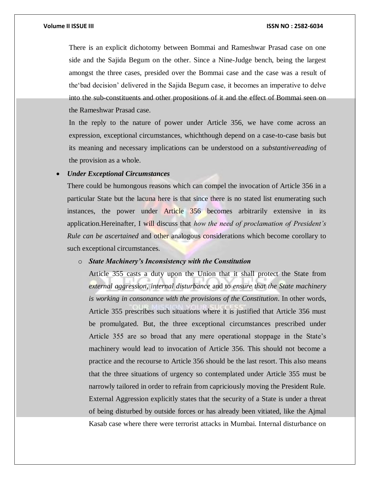#### **Volume II ISSUE III ISSN NO : 2582-6034**

There is an explicit dichotomy between Bommai and Rameshwar Prasad case on one side and the Sajida Begum on the other. Since a Nine-Judge bench, being the largest amongst the three cases, presided over the Bommai case and the case was a result of the'bad decision' delivered in the Sajida Begum case, it becomes an imperative to delve into the sub-constituents and other propositions of it and the effect of Bommai seen on the Rameshwar Prasad case.

In the reply to the nature of power under Article 356, we have come across an expression, exceptional circumstances, whichthough depend on a case-to-case basis but its meaning and necessary implications can be understood on a *substantivereading* of the provision as a whole.

### *Under Exceptional Circumstances*

There could be humongous reasons which can compel the invocation of Article 356 in a particular State but the lacuna here is that since there is no stated list enumerating such instances, the power under Article 356 becomes arbitrarily extensive in its application.Hereinafter, I will discuss that *how the need of proclamation of President's Rule can be ascertained* and other analogous considerations which become corollary to such exceptional circumstances.

### o *State Machinery's Inconsistency with the Constitution*

Article 355 casts a duty upon the Union that it shall protect the State from *external aggression*, *internal disturbance* and to *ensure that the State machinery is working in consonance with the provisions of the Constitution*. In other words, Article 355 prescribes such situations where it is justified that Article 356 must be promulgated. But, the three exceptional circumstances prescribed under Article 355 are so broad that any mere operational stoppage in the State's machinery would lead to invocation of Article 356. This should not become a practice and the recourse to Article 356 should be the last resort. This also means that the three situations of urgency so contemplated under Article 355 must be narrowly tailored in order to refrain from capriciously moving the President Rule. External Aggression explicitly states that the security of a State is under a threat of being disturbed by outside forces or has already been vitiated, like the Ajmal Kasab case where there were terrorist attacks in Mumbai. Internal disturbance on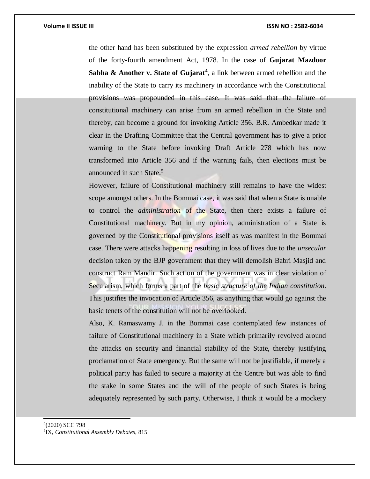the other hand has been substituted by the expression *armed rebellion* by virtue of the forty-fourth amendment Act, 1978. In the case of **Gujarat Mazdoor**  Sabha & Another v. State of Gujarat<sup>4</sup>, a link between armed rebellion and the inability of the State to carry its machinery in accordance with the Constitutional provisions was propounded in this case. It was said that the failure of constitutional machinery can arise from an armed rebellion in the State and thereby, can become a ground for invoking Article 356. B.R. Ambedkar made it clear in the Drafting Committee that the Central government has to give a prior warning to the State before invoking Draft Article 278 which has now transformed into Article 356 and if the warning fails, then elections must be announced in such State.<sup>5</sup>

However, failure of Constitutional machinery still remains to have the widest scope amongst others. In the Bommai case, it was said that when a State is unable to control the *administration* of the State, then there exists a failure of Constitutional machinery. But in my opinion, administration of a State is governed by the Constitutional provisions itself as was manifest in the Bommai case. There were attacks happening resulting in loss of lives due to the *unsecular* decision taken by the BJP government that they will demolish Babri Masjid and construct Ram Mandir. Such action of the government was in clear violation of Secularism, which forms a part of the *basic structure of the Indian constitution*. This justifies the invocation of Article 356, as anything that would go against the basic tenets of the constitution will not be overlooked.

Also, K. Ramaswamy J. in the Bommai case contemplated few instances of failure of Constitutional machinery in a State which primarily revolved around the attacks on security and financial stability of the State, thereby justifying proclamation of State emergency. But the same will not be justifiable, if merely a political party has failed to secure a majority at the Centre but was able to find the stake in some States and the will of the people of such States is being adequately represented by such party. Otherwise, I think it would be a mockery

l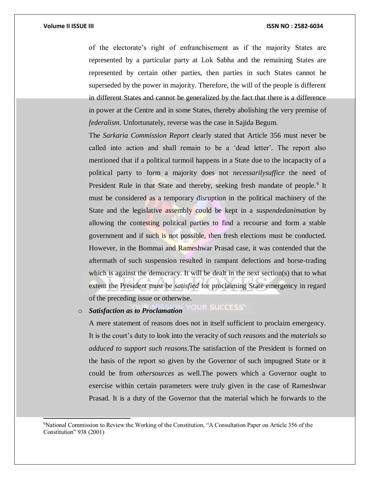l

of the electorate's right of enfranchisement as if the majority States are represented by a particular party at Lok Sabha and the remaining States are represented by certain other parties, then parties in such States cannot be superseded by the power in majority. Therefore, the will of the people is different in different States and cannot be generalized by the fact that there is a difference in power at the Centre and in some States, thereby abolishing the very premise of *federalism*. Unfortunately, reverse was the case in Sajida Begum.

The *Sarkaria Commission Report* clearly stated that Article 356 must never be called into action and shall remain to be a 'dead letter'. The report also mentioned that if a political turmoil happens in a State due to the incapacity of a political party to form a majority does not *necessarilysuffice* the need of President Rule in that State and thereby, seeking fresh mandate of people.<sup>6</sup> It must be considered as a temporary disruption in the political machinery of the State and the legislative assembly could be kept in a *suspendedanimation* by allowing the contesting political parties to find a recourse and form a stable government and if such is not possible, then fresh elections must be conducted. However, in the Bommai and Rameshwar Prasad case, it was contended that the aftermath of such suspension resulted in rampant defections and horse-trading which is against the democracy. It will be dealt in the next section(s) that to what extent the President must be *satisfied* for proclaiming State emergency in regard of the preceding issue or otherwise.

YOUR SUCCESS' o *Satisfaction as to Proclamation*

A mere statement of reasons does not in itself sufficient to proclaim emergency. It is the court's duty to look into the veracity of such *reasons* and the *materials so adduced to support such reasons*.The satisfaction of the President is formed on the basis of the report so given by the Governor of such impugned State or it could be from *othersources* as well.The powers which a Governor ought to exercise within certain parameters were truly given in the case of Rameshwar Prasad. It is a duty of the Governor that the material which he forwards to the

<sup>6</sup>National Commission to Review the Working of the Constitution, "A Consultation Paper on Article 356 of the Constitution" 938 (2001)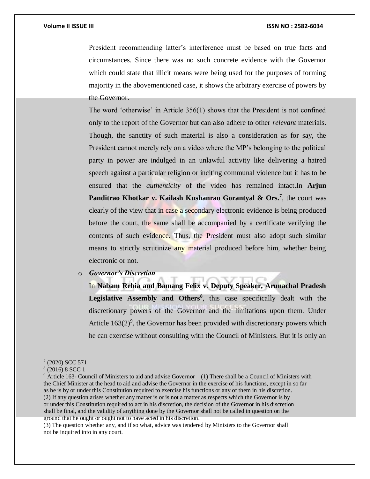President recommending latter's interference must be based on true facts and circumstances. Since there was no such concrete evidence with the Governor which could state that illicit means were being used for the purposes of forming majority in the abovementioned case, it shows the arbitrary exercise of powers by the Governor.

The word 'otherwise' in Article 356(1) shows that the President is not confined only to the report of the Governor but can also adhere to other *relevant* materials. Though, the sanctity of such material is also a consideration as for say, the President cannot merely rely on a video where the MP's belonging to the political party in power are indulged in an unlawful activity like delivering a hatred speech against a particular religion or inciting communal violence but it has to be ensured that the *authenticity* of the video has remained intact.In **Arjun**  Panditrao Khotkar v. Kailash Kushanrao Gorantyal & Ors.<sup>7</sup>, the court was clearly of the view that in case a secondary electronic evidence is being produced before the court, the same shall be accompanied by a certificate verifying the contents of such evidence. Thus, the President must also adopt such similar means to strictly scrutinize any material produced before him, whether being electronic or not.

o *Governor's Discretion* 

In **Nabam Rebia and Bamang Felix v. Deputy Speaker, Arunachal Pradesh Legislative Assembly and Others<sup>8</sup>** , this case specifically dealt with the discretionary powers of the Governor and the limitations upon them. Under Article  $163(2)^9$ , the Governor has been provided with discretionary powers which he can exercise without consulting with the Council of Ministers. But it is only an

<sup>7</sup> (2020) SCC 571

<sup>8</sup> (2016) 8 SCC 1

<sup>9</sup> Article 163- Council of Ministers to aid and advise Governor—(1) There shall be a Council of Ministers with the Chief Minister at the head to aid and advise the Governor in the exercise of his functions, except in so far as he is by or under this Constitution required to exercise his functions or any of them in his discretion. (2) If any question arises whether any matter is or is not a matter as respects which the Governor is by or under this Constitution required to act in his discretion, the decision of the Governor in his discretion shall be final, and the validity of anything done by the Governor shall not be called in question on the ground that he ought or ought not to have acted in his discretion.

<sup>(3)</sup> The question whether any, and if so what, advice was tendered by Ministers to the Governor shall not be inquired into in any court.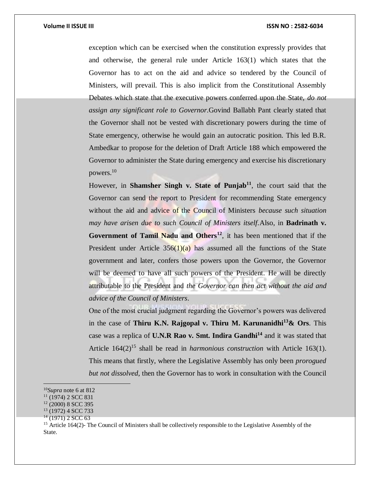exception which can be exercised when the constitution expressly provides that and otherwise, the general rule under Article 163(1) which states that the Governor has to act on the aid and advice so tendered by the Council of Ministers, will prevail. This is also implicit from the Constitutional Assembly Debates which state that the executive powers conferred upon the State, *do not assign any significant role to Governor*.Govind Ballabh Pant clearly stated that the Governor shall not be vested with discretionary powers during the time of State emergency, otherwise he would gain an autocratic position. This led B.R. Ambedkar to propose for the deletion of Draft Article 188 which empowered the Governor to administer the State during emergency and exercise his discretionary powers.<sup>10</sup>

However, in **Shamsher Singh v. State of Punjab<sup>11</sup>**, the court said that the Governor can send the report to President for recommending State emergency without the aid and advice of the Council of Ministers *because such situation may have arisen due to such Council of Ministers itself.*Also, in **Badrinath v. Government of Tamil Nadu and Others<sup>12</sup>**, it has been mentioned that if the President under Article  $356(1)(a)$  has assumed all the functions of the State government and later, confers those powers upon the Governor, the Governor will be deemed to have all such powers of the President. He will be directly attributable to the President and *the Governor can then act without the aid and advice of the Council of Ministers*.

One of the most crucial judgment regarding the Governor's powers was delivered in the case of **Thiru K.N. Rajgopal v. Thiru M. Karunanidhi<sup>13</sup>& Ors**. This case was a replica of **U.N.R Rao v. Smt. Indira Gandhi<sup>14</sup>** and it was stated that Article 164(2)<sup>15</sup> shall be read in *harmonious construction* with Article 163(1). This means that firstly, where the Legislative Assembly has only been *prorogued but not dissolved*, then the Governor has to work in consultation with the Council

<sup>10</sup>*Supra* note 6 at 812

 $11$  (1974) 2 SCC 831

<sup>12</sup> (2000) 8 SCC 395

<sup>13</sup> (1972) 4 SCC 733

<sup>&</sup>lt;sup>14</sup> (1971) 2 SCC 63

<sup>&</sup>lt;sup>15</sup> Article 164(2)- The Council of Ministers shall be collectively responsible to the Legislative Assembly of the State.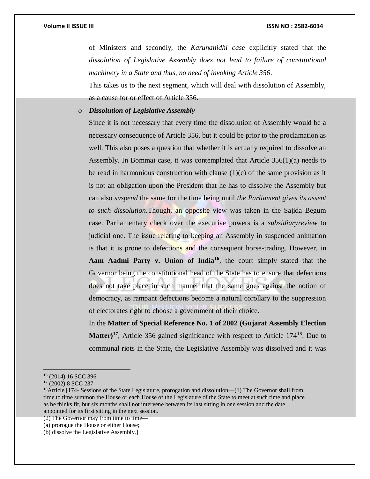of Ministers and secondly, the *Karunanidhi case* explicitly stated that the *dissolution of Legislative Assembly does not lead to failure of constitutional machinery in a State and thus, no need of invoking Article 356*.

This takes us to the next segment, which will deal with dissolution of Assembly, as a cause for or effect of Article 356.

o *Dissolution of Legislative Assembly*

Since it is not necessary that every time the dissolution of Assembly would be a necessary consequence of Article 356, but it could be prior to the proclamation as well. This also poses a question that whether it is actually required to dissolve an Assembly. In Bommai case, it was contemplated that Article  $356(1)(a)$  needs to be read in harmonious construction with clause  $(1)(c)$  of the same provision as it is not an obligation upon the President that he has to dissolve the Assembly but can also *suspend* the same for the time being until *the Parliament gives its assent to such dissolution*.Though, an opposite view was taken in the Sajida Begum case. Parliamentary check over the executive powers is a *subsidiaryreview* to judicial one. The issue relating to keeping an Assembly in suspended animation is that it is prone to defections and the consequent horse-trading. However, in **Aam Aadmi Party v. Union of India<sup>16</sup>**, the court simply stated that the Governor being the constitutional head of the State has to ensure that defections does not take place in such manner that the same goes against the notion of democracy, as rampant defections become a natural corollary to the suppression of electorates right to choose a government of their choice.

In the **Matter of Special Reference No. 1 of 2002 (Gujarat Assembly Election**  Matter)<sup>17</sup>, Article 356 gained significance with respect to Article 174<sup>18</sup>. Due to communal riots in the State, the Legislative Assembly was dissolved and it was

<sup>17</sup> (2002) 8 SCC 237

 $18$ Article [174- Sessions of the State Legislature, prorogation and dissolution—(1) The Governor shall from time to time summon the House or each House of the Legislature of the State to meet at such time and place as he thinks fit, but six months shall not intervene between its last sitting in one session and the date appointed for its first sitting in the next session.

(2) The Governor may from time to time—

<sup>16</sup> (2014) 16 SCC 396

<sup>(</sup>a) prorogue the House or either House;

<sup>(</sup>b) dissolve the Legislative Assembly.]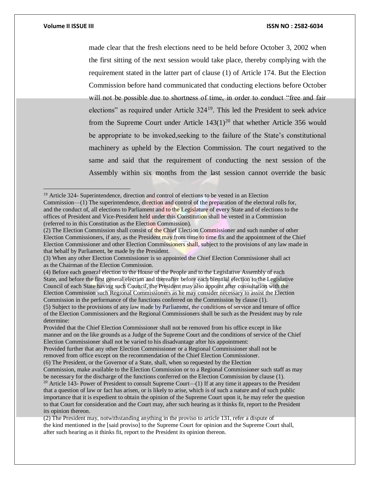$\overline{a}$ 

made clear that the fresh elections need to be held before October 3, 2002 when the first sitting of the next session would take place, thereby complying with the requirement stated in the latter part of clause (1) of Article 174. But the Election Commission before hand communicated that conducting elections before October will not be possible due to shortness of time, in order to conduct "free and fair elections" as required under Article 324<sup>19</sup>. This led the President to seek advice from the Supreme Court under Article  $143(1)^{20}$  that whether Article 356 would be appropriate to be invoked,seeking to the failure of the State's constitutional machinery as upheld by the Election Commission. The court negatived to the same and said that the requirement of conducting the next session of the Assembly within six months from the last session cannot override the basic

<sup>&</sup>lt;sup>19</sup> Article 324- Superintendence, direction and control of elections to be vested in an Election Commission—(1) The superintendence, direction and control of the preparation of the electoral rolls for, and the conduct of, all elections to Parliament and to the Legislature of every State and of elections to the offices of President and Vice-President held under this Constitution shall be vested in a Commission (referred to in this Constitution as the Election Commission).

<sup>(2)</sup> The Election Commission shall consist of the Chief Election Commissioner and such number of other Election Commissioners, if any, as the President may from time to time fix and the appointment of the Chief Election Commissioner and other Election Commissioners shall, subject to the provisions of any law made in that behalf by Parliament, be made by the President.

<sup>(3)</sup> When any other Election Commissioner is so appointed the Chief Election Commissioner shall act as the Chairman of the Election Commission.

<sup>(4)</sup> Before each general election to the House of the People and to the Legislative Assembly of each State, and before the first general election and thereafter before each biennial election to the Legislative Council of each State having such Council, the President may also appoint after consultation with the Election Commission such Regional Commissioners as he may consider necessary to assist the Election Commission in the performance of the functions conferred on the Commission by clause (1).

<sup>(5)</sup> Subject to the provisions of any law made by Parliament, the conditions of service and tenure of office of the Election Commissioners and the Regional Commissioners shall be such as the President may by rule determine:

Provided that the Chief Election Commissioner shall not be removed from his office except in like manner and on the like grounds as a Judge of the Supreme Court and the conditions of service of the Chief Election Commissioner shall not be varied to his disadvantage after his appointment:

Provided further that any other Election Commissioner or a Regional Commissioner shall not be removed from office except on the recommendation of the Chief Election Commissioner.

<sup>(6)</sup> The President, or the Governor of a State, shall, when so requested by the Election

Commission, make available to the Election Commission or to a Regional Commissioner such staff as may be necessary for the discharge of the functions conferred on the Election Commission by clause (1).

<sup>&</sup>lt;sup>20</sup> Article 143- Power of President to consult Supreme Court—(1) If at any time it appears to the President that a question of law or fact has arisen, or is likely to arise, which is of such a nature and of such public importance that it is expedient to obtain the opinion of the Supreme Court upon it, he may refer the question to that Court for consideration and the Court may, after such hearing as it thinks fit, report to the President its opinion thereon.

<sup>(2)</sup> The President may, notwithstanding anything in the proviso to article 131, refer a dispute of the kind mentioned in the [said proviso] to the Supreme Court for opinion and the Supreme Court shall, after such hearing as it thinks fit, report to the President its opinion thereon.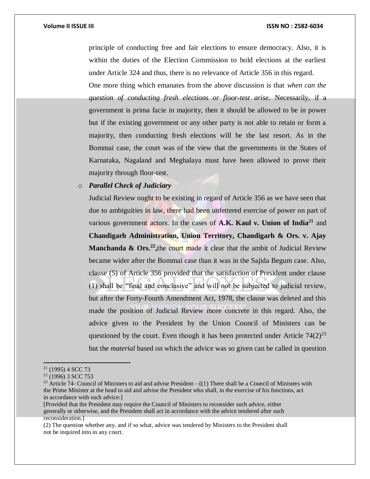principle of conducting free and fair elections to ensure democracy. Also, it is within the duties of the Election Commission to hold elections at the earliest under Article 324 and thus, there is no relevance of Article 356 in this regard.

One more thing which emanates from the above discussion is that *when can the question of conducting fresh elections or floor-test arise*. Necessarily, if a government is prima facie in majority, then it should be allowed to be in power but if the existing government or any other party is not able to retain or form a majority, then conducting fresh elections will be the last resort. As in the Bommai case, the court was of the view that the governments in the States of Karnataka, Nagaland and Meghalaya must have been allowed to prove their majority through floor-test.

# o *Parallel Check of Judiciary*

Judicial Review ought to be existing in regard of Article 356 as we have seen that due to ambiguities in law, there had been unfettered exercise of power on part of various government actors. In the cases of  $A,K$ . Kaul v. Union of India<sup>21</sup> and **Chandigarh Administration, Union Territory, Chandigarh & Ors. v. Ajay Manchanda & Ors.<sup>22</sup>**, the court made it clear that the ambit of Judicial Review became wider after the Bommai case than it was in the Sajida Begum case. Also, clause (5) of Article 356 provided that the satisfaction of President under clause (1) shall be "final and conclusive" and will not be subjected to judicial review, but after the Forty-Fourth Amendment Act, 1978, the clause was deleted and this made the position of Judicial Review more concrete in this regard. Also, the advice given to the President by the Union Council of Ministers can be questioned by the court. Even though it has been protected under Article  $74(2)^{23}$ but the *material* based on which the advice was so given can be called in question

 $\overline{a}$ 

[Provided that the President may require the Council of Ministers to reconsider such advice, either generally or otherwise, and the President shall act in accordance with the advice tendered after such reconsideration.]

<sup>21</sup> (1995) 4 SCC 73

 $22$  (1996) 3 SCC 753

<sup>&</sup>lt;sup>23</sup> Article 74- Council of Ministers to aid and advise President— $(1)$  There shall be a Council of Ministers with the Prime Minister at the head to aid and advise the President who shall, in the exercise of his functions, act in accordance with such advice:]

<sup>(2)</sup> The question whether any, and if so what, advice was tendered by Ministers to the President shall not be inquired into in any court.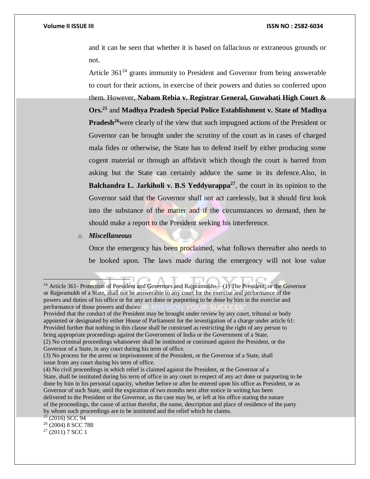and it can be seen that whether it is based on fallacious or extraneous grounds or not.

Article  $361<sup>24</sup>$  grants immunity to President and Governor from being answerable to court for their actions, in exercise of their powers and duties so conferred upon them. However, **Nabam Rebia v. Registrar General, Guwahati High Court & Ors.<sup>25</sup>** and **Madhya Pradesh Special Police Establishment v. State of Madhya Pradesh<sup>26</sup>**were clearly of the view that such impugned actions of the President or Governor can be brought under the scrutiny of the court as in cases of charged mala fides or otherwise, the State has to defend itself by either producing some cogent material or through an affidavit which though the court is barred from asking but the State can certainly adduce the same in its defence.Also, in **Balchandra L. Jarkiholi v. B.S Yeddyurappa<sup>27</sup>**, the court in its opinion to the Governor said that the Governor shall not act carelessly, but it should first look into the substance of the matter and if the circumstances so demand, then he should make a report to the President seeking his interference.

#### o *Miscellaneous*

Once the emergency has been proclaimed, what follows thereafter also needs to be looked upon. The laws made during the emergency will not lose value

<sup>&</sup>lt;sup>24</sup> Article 361- Protection of President and Governors and Rajpramukhs—(1) The President, or the Governor or Rajpramukh of a State, shall not be answerable to any court for the exercise and performance of the powers and duties of his office or for any act done or purporting to be done by him in the exercise and performance of those powers and duties:

Provided that the conduct of the President may be brought under review by any court, tribunal or body appointed or designated by either House of Parliament for the investigation of a charge under article 61: Provided further that nothing in this clause shall be construed as restricting the right of any person to bring appropriate proceedings against the Government of India or the Government of a State. (2) No criminal proceedings whatsoever shall be instituted or continued against the President, or the

Governor of a State, in any court during his term of office.

<sup>(3)</sup> No process for the arrest or imprisonment of the President, or the Governor of a State, shall issue from any court during his term of office.

<sup>(4)</sup> No civil proceedings in which relief is claimed against the President, or the Governor of a State, shall be instituted during his term of office in any court in respect of any act done or purporting to be done by him in his personal capacity, whether before or after he entered upon his office as President, or as Governor of such State, until the expiration of two months next after notice in writing has been delivered to the President or the Governor, as the case may be, or left at his office stating the nature of the proceedings, the cause of action therefor, the name, description and place of residence of the party by whom such proceedings are to be instituted and the relief which he claims.

 $25$  (2016) SCC 94

<sup>26</sup> (2004) 8 SCC 788

 $27$  (2011) 7 SCC 1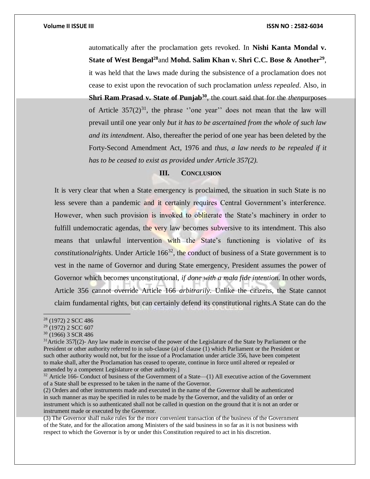automatically after the proclamation gets revoked. In **Nishi Kanta Mondal v. State of West Bengal<sup>28</sup>**and **Mohd. Salim Khan v. Shri C.C. Bose & Another<sup>29</sup>** , it was held that the laws made during the subsistence of a proclamation does not cease to exist upon the revocation of such proclamation *unless repealed*. Also, in **Shri Ram Prasad v. State of Punjab<sup>30</sup>**, the court said that for the *then*purposes of Article  $357(2)^{31}$ , the phrase ''one year'' does not mean that the law will prevail until one year only *but it has to be ascertained from the whole of such law and its intendment*. Also, thereafter the period of one year has been deleted by the Forty-Second Amendment Act, 1976 and *thus, a law needs to be repealed if it has to be ceased to exist as provided under Article 357(2).*

### **III. CONCLUSION**

It is very clear that when a State emergency is proclaimed, the situation in such State is no less severe than a pandemic and it certainly requires Central Government's interference. However, when such provision is invoked to obliterate the State's machinery in order to fulfill undemocratic agendas, the very law becomes subversive to its intendment. This also means that unlawful intervention with the State's functioning is violative of its *constitutionalrights*. Under Article 166<sup>32</sup>, the conduct of business of a State government is to vest in the name of Governor and during State emergency, President assumes the power of Governor which becomes unconstitutional, *if done with a mala fide intention*. In other words, Article 356 cannot override Article 166 *arbitrarily*. Unlike the citizens, the State cannot claim fundamental rights, but can certainly defend its constitutional rights.A State can do the

<sup>28</sup> (1972) 2 SCC 486

<sup>29</sup> (1972) 2 SCC 607

<sup>30</sup> (1966) 3 SCR 486

<sup>31</sup>Article 357[(2)- Any law made in exercise of the power of the Legislature of the State by Parliament or the President or other authority referred to in sub-clause (a) of clause (1) which Parliament or the President or such other authority would not, but for the issue of a Proclamation under article 356, have been competent to make shall, after the Proclamation has ceased to operate, continue in force until altered or repealed or amended by a competent Legislature or other authority.]

<sup>&</sup>lt;sup>32</sup> Article 166- Conduct of business of the Government of a State—(1) All executive action of the Government of a State shall be expressed to be taken in the name of the Governor.

<sup>(2)</sup> Orders and other instruments made and executed in the name of the Governor shall be authenticated in such manner as may be specified in rules to be made by the Governor, and the validity of an order or instrument which is so authenticated shall not be called in question on the ground that it is not an order or instrument made or executed by the Governor.

<sup>(3)</sup> The Governor shall make rules for the more convenient transaction of the business of the Government of the State, and for the allocation among Ministers of the said business in so far as it is not business with respect to which the Governor is by or under this Constitution required to act in his discretion.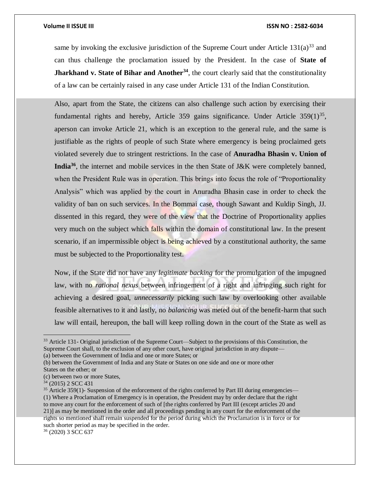same by invoking the exclusive jurisdiction of the Supreme Court under Article  $131(a)^{33}$  and can thus challenge the proclamation issued by the President. In the case of **State of Jharkhand v. State of Bihar and Another<sup>34</sup>, the court clearly said that the constitutionality** of a law can be certainly raised in any case under Article 131 of the Indian Constitution.

Also, apart from the State, the citizens can also challenge such action by exercising their fundamental rights and hereby, Article 359 gains significance. Under Article  $359(1)^{35}$ , aperson can invoke Article 21, which is an exception to the general rule, and the same is justifiable as the rights of people of such State where emergency is being proclaimed gets violated severely due to stringent restrictions. In the case of **Anuradha Bhasin v. Union of India<sup>36</sup>**, the internet and mobile services in the then State of J&K were completely banned, when the President Rule was in operation. This brings into focus the role of "Proportionality Analysis" which was applied by the court in Anuradha Bhasin case in order to check the validity of ban on such services. In the Bommai case, though Sawant and Kuldip Singh, JJ. dissented in this regard, they were of the view that the Doctrine of Proportionality applies very much on the subject which falls within the domain of constitutional law. In the present scenario, if an impermissible object is being achieved by a constitutional authority, the same must be subjected to the Proportionality test.

Now, if the State did not have any *legitimate backing* for the promulgation of the impugned law, with no *rational nexus* between infringement of a right and infringing such right for achieving a desired goal, *unnecessarily* picking such law by overlooking other available feasible alternatives to it and lastly, no *balancing* was meted out of the benefit-harm that such law will entail, hereupon, the ball will keep rolling down in the court of the State as well as

<sup>&</sup>lt;sup>33</sup> Article 131- Original jurisdiction of the Supreme Court—Subject to the provisions of this Constitution, the Supreme Court shall, to the exclusion of any other court, have original jurisdiction in any dispute— (a) between the Government of India and one or more States; or

<sup>(</sup>b) between the Government of India and any State or States on one side and one or more other States on the other; or

<sup>(</sup>c) between two or more States,

<sup>34</sup> (2015) 2 SCC 431

<sup>&</sup>lt;sup>35</sup> Article 359(1)- Suspension of the enforcement of the rights conferred by Part III during emergencies— (1) Where a Proclamation of Emergency is in operation, the President may by order declare that the right to move any court for the enforcement of such of [the rights conferred by Part III (except articles 20 and 21)] as may be mentioned in the order and all proceedings pending in any court for the enforcement of the rights so mentioned shall remain suspended for the period during which the Proclamation is in force or for such shorter period as may be specified in the order.

<sup>36</sup> (2020) 3 SCC 637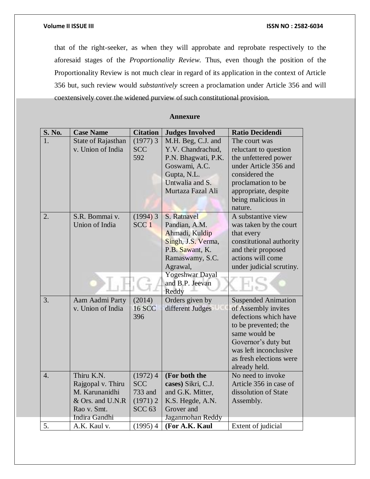that of the right-seeker, as when they will approbate and reprobate respectively to the aforesaid stages of the *Proportionality Review*. Thus, even though the position of the Proportionality Review is not much clear in regard of its application in the context of Article 356 but, such review would *substantively* screen a proclamation under Article 356 and will coextensively cover the widened purview of such constitutional provision.

### **Annexure**

| <b>S. No.</b>    | <b>Case Name</b>   | <b>Citation</b>   | <b>Judges Involved</b> | <b>Ratio Decidendi</b>                           |
|------------------|--------------------|-------------------|------------------------|--------------------------------------------------|
| 1.               | State of Rajasthan | $(1977)$ 3        | M.H. Beg, C.J. and     | The court was                                    |
|                  | v. Union of India  | <b>SCC</b>        | Y.V. Chandrachud,      | reluctant to question                            |
|                  |                    | 592               | P.N. Bhagwati, P.K.    | the unfettered power                             |
|                  |                    |                   | Goswami, A.C.          | under Article 356 and                            |
|                  |                    |                   | Gupta, N.L.            | considered the                                   |
|                  |                    |                   | Untwalia and S.        | proclamation to be                               |
|                  |                    |                   | Murtaza Fazal Ali      | appropriate, despite                             |
|                  |                    |                   |                        | being malicious in                               |
|                  |                    |                   |                        | nature.                                          |
| 2.               | S.R. Bommai v.     | $(1994)$ 3        | S. Ratnavel            | A substantive view                               |
|                  | Union of India     | SCC <sub>1</sub>  | Pandian, A.M.          | was taken by the court                           |
|                  |                    |                   | Ahmadi, Kuldip         | that every                                       |
|                  |                    |                   | Singh, J.S. Verma,     | constitutional authority                         |
|                  |                    |                   | P.B. Sawant, K.        | and their proposed                               |
|                  |                    |                   | Ramaswamy, S.C.        | actions will come                                |
|                  |                    |                   | Agrawal,               | under judicial scrutiny.                         |
|                  |                    |                   | Yogeshwar Dayal        |                                                  |
|                  |                    |                   | and B.P. Jeevan        |                                                  |
|                  |                    |                   | Reddy                  |                                                  |
| 3.               | Aam Aadmi Party    | (2014)            | Orders given by        | <b>Suspended Animation</b>                       |
|                  | v. Union of India  | <b>16 SCC</b>     | different Judges       | of Assembly invites                              |
|                  |                    | 396               |                        | defections which have                            |
|                  |                    |                   |                        | to be prevented; the                             |
|                  |                    |                   |                        | same would be                                    |
|                  |                    |                   |                        | Governor's duty but                              |
|                  |                    |                   |                        | was left inconclusive<br>as fresh elections were |
|                  |                    |                   |                        |                                                  |
| $\overline{4}$ . | Thiru K.N.         | $(1972)$ 4        | (For both the          | already held.<br>No need to invoke               |
|                  | Rajgopal v. Thiru  | <b>SCC</b>        | cases) Sikri, C.J.     | Article 356 in case of                           |
|                  | M. Karunanidhi     | 733 and           | and G.K. Mitter,       | dissolution of State                             |
|                  | & Ors. and U.N.R   | (1971) 2          | K.S. Hegde, A.N.       | Assembly.                                        |
|                  | Rao v. Smt.        | SCC <sub>63</sub> | Grover and             |                                                  |
|                  | Indira Gandhi      |                   | Jaganmohan Reddy       |                                                  |
| 5.               | A.K. Kaul v.       | $(1995)$ 4        | (For A.K. Kaul         | Extent of judicial                               |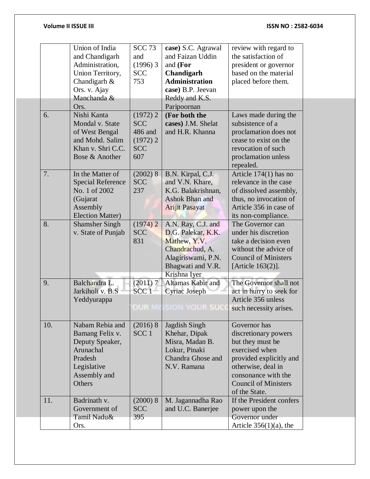|     | Union of India           | <b>SCC 73</b>    | case) S.C. Agrawal    | review with regard to       |
|-----|--------------------------|------------------|-----------------------|-----------------------------|
|     | and Chandigarh           | and              | and Faizan Uddin      | the satisfaction of         |
|     | Administration,          | $(1996)$ 3       | and $(For$            | president or governor       |
|     | Union Territory,         | <b>SCC</b>       | Chandigarh            | based on the material       |
|     | Chandigarh &             | 753              | <b>Administration</b> | placed before them.         |
|     | Ors. v. Ajay             |                  | case) B.P. Jeevan     |                             |
|     | Manchanda &              |                  |                       |                             |
|     |                          |                  | Reddy and K.S.        |                             |
|     | Ors.                     |                  | Paripoornan           |                             |
| 6.  | Nishi Kanta              | $(1972)$ 2       | (For both the         | Laws made during the        |
|     | Mondal v. State          | <b>SCC</b>       | cases) J.M. Shelat    | subsistence of a            |
|     | of West Bengal           | 486 and          | and H.R. Khanna       | proclamation does not       |
|     | and Mohd. Salim          | $(1972)$ 2       |                       | cease to exist on the       |
|     | Khan v. Shri C.C.        | <b>SCC</b>       |                       | revocation of such          |
|     | Bose & Another           | 607              |                       | proclamation unless         |
|     |                          |                  |                       | repealed.                   |
| 7.  | In the Matter of         | (2002)8          | B.N. Kirpal, C.J.     | Article $174(1)$ has no     |
|     | <b>Special Reference</b> | <b>SCC</b>       | and V.N. Khare,       | relevance in the case       |
|     | No. 1 of 2002            | 237              | K.G. Balakrishnan,    | of dissolved assembly,      |
|     | (Gujarat                 |                  | Ashok Bhan and        | thus, no invocation of      |
|     | Assembly                 |                  | <b>Arijit Pasayat</b> | Article 356 in case of      |
|     |                          |                  |                       |                             |
|     | <b>Election Matter)</b>  |                  |                       | its non-compliance.         |
| 8.  | <b>Shamsher Singh</b>    | $(1974)$ 2       | A.N. Ray, C.J. and    | The Governor can            |
|     | v. State of Punjab       | <b>SCC</b>       | D.G. Palekar, K.K.    | under his discretion        |
|     |                          | 831              | Mathew, Y.V.          | take a decision even        |
|     |                          |                  | Chandrachud, A.       | without the advice of       |
|     |                          |                  | Alagiriswami, P.N.    | <b>Council of Ministers</b> |
|     |                          |                  | Bhagwati and V.R.     | [Article $163(2)$ ].        |
|     |                          |                  | Krishna Iyer          |                             |
| 9.  | Balchandra L.            | (2011) 7         | Altamas Kabir and     | The Governor shall not      |
|     | Jarkiholi v. B.S         | SCC <sub>1</sub> | Cyriac Joseph         | act in hurry to seek for    |
|     | Yeddyurappa              |                  |                       | Article 356 unless          |
|     |                          | OUR ME           | ISION YOUR SUC        | such necessity arises.      |
|     |                          |                  |                       |                             |
| 10. | Nabam Rebia and          | $(2016)$ 8       | <b>Jagdish Singh</b>  | Governor has                |
|     |                          | SCC <sub>1</sub> | Khehar, Dipak         |                             |
|     | Bamang Felix v.          |                  |                       | discretionary powers        |
|     | Deputy Speaker,          |                  | Misra, Madan B.       | but they must be            |
|     | Arunachal                |                  | Lokur, Pinaki         | exercised when              |
|     | Pradesh                  |                  | Chandra Ghose and     | provided explicitly and     |
|     | Legislative              |                  | N.V. Ramana           | otherwise, deal in          |
|     | Assembly and             |                  |                       | consonance with the         |
|     | Others                   |                  |                       | <b>Council of Ministers</b> |
|     |                          |                  |                       | of the State.               |
| 11. | Badrinath v.             | (2000) 8         | M. Jagannadha Rao     | If the President confers    |
|     | Government of            | <b>SCC</b>       | and U.C. Banerjee     | power upon the              |
|     | Tamil Nadu&              | 395              |                       | Governor under              |
|     | Ors.                     |                  |                       | Article $356(1)(a)$ , the   |
|     |                          |                  |                       |                             |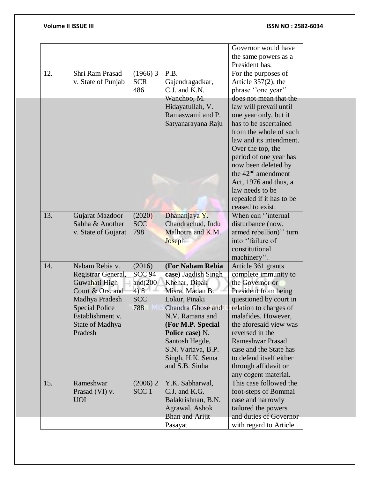|     |                       |                  |                                      | Governor would have      |  |
|-----|-----------------------|------------------|--------------------------------------|--------------------------|--|
|     |                       |                  |                                      | the same powers as a     |  |
|     |                       |                  |                                      | President has.           |  |
| 12. | Shri Ram Prasad       | $(1966)$ 3       | P.B.                                 | For the purposes of      |  |
|     | v. State of Punjab    | <b>SCR</b>       | Gajendragadkar,                      | Article $357(2)$ , the   |  |
|     |                       | 486              | C.J. and K.N.                        | phrase "one year"        |  |
|     |                       |                  | Wanchoo, M.                          | does not mean that the   |  |
|     |                       |                  |                                      |                          |  |
|     |                       |                  | Hidayatullah, V.<br>Ramaswami and P. | law will prevail until   |  |
|     |                       |                  |                                      | one year only, but it    |  |
|     |                       |                  | Satyanarayana Raju                   | has to be ascertained    |  |
|     |                       |                  |                                      | from the whole of such   |  |
|     |                       |                  |                                      | law and its intendment.  |  |
|     |                       |                  |                                      | Over the top, the        |  |
|     |                       |                  |                                      | period of one year has   |  |
|     |                       |                  |                                      | now been deleted by      |  |
|     |                       |                  |                                      | the $42nd$ amendment     |  |
|     |                       |                  |                                      | Act, 1976 and thus, a    |  |
|     |                       |                  |                                      | law needs to be          |  |
|     |                       |                  |                                      | repealed if it has to be |  |
|     |                       |                  |                                      | ceased to exist.         |  |
| 13. | Gujarat Mazdoor       | (2020)           | Dhananjaya Y.                        | When can "internal       |  |
|     | Sabha & Another       | <b>SCC</b>       | Chandrachud, Indu                    | disturbance (now,        |  |
|     | v. State of Gujarat   | 798              | Malhotra and K.M.                    | armed rebellion)" turn   |  |
|     |                       |                  | <b>Joseph</b>                        | into "failure of         |  |
|     |                       |                  |                                      | constitutional           |  |
|     |                       |                  |                                      | machinery".              |  |
| 14. | Nabam Rebia v.        | (2016)           | (For Nabam Rebia                     | Article 361 grants       |  |
|     | Registrar General,    | <b>SCC 94</b>    | case) Jagdish Singh                  | complete immunity to     |  |
|     | Guwahati High         | and $(200)$      | Khehar, Dipak                        | the Governor or          |  |
|     | Court & Ors. and      | 4)8              | Misra, Madan B.                      | President from being     |  |
|     | Madhya Pradesh        | <b>SCC</b>       | Lokur, Pinaki                        | questioned by court in   |  |
|     | <b>Special Police</b> | 788              | <b>Chandra Ghose and</b>             | relation to charges of   |  |
|     | Establishment v.      |                  | N.V. Ramana and                      | malafides. However,      |  |
|     | State of Madhya       |                  | (For M.P. Special                    | the aforesaid view was   |  |
|     | Pradesh               |                  | Police case) N.                      | reversed in the          |  |
|     |                       |                  | Santosh Hegde,                       | <b>Rameshwar Prasad</b>  |  |
|     |                       |                  | S.N. Variava, B.P.                   | case and the State has   |  |
|     |                       |                  | Singh, H.K. Sema                     | to defend itself either  |  |
|     |                       |                  | and S.B. Sinha                       | through affidavit or     |  |
|     |                       |                  |                                      | any cogent material.     |  |
| 15. | Rameshwar             | $(2006)$ 2       | Y.K. Sabharwal,                      | This case followed the   |  |
|     | Prasad (VI) v.        | SCC <sub>1</sub> | C.J. and K.G.                        | foot-steps of Bommai     |  |
|     | <b>UOI</b>            |                  | Balakrishnan, B.N.                   | case and narrowly        |  |
|     |                       |                  | Agrawal, Ashok                       | tailored the powers      |  |
|     |                       |                  | Bhan and Arijit                      | and duties of Governor   |  |
|     |                       |                  | Pasayat                              | with regard to Article   |  |